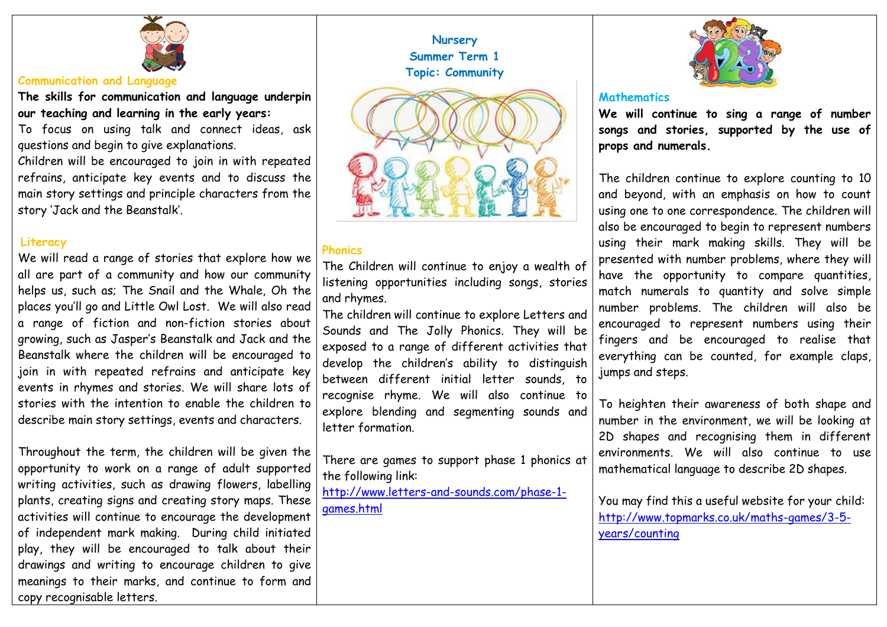

### **Communication and Language**

**The skills for communication and language underpin our teaching and learning in the early years:**

To focus on using talk and connect ideas, ask questions and begin to give explanations.

Children will be encouraged to join in with repeated refrains, anticipate key events and to discuss the main story settings and principle characters from the story 'Jack and the Beanstalk'.

### **Literacy**

We will read a range of stories that explore how we all are part of a community and how our community helps us, such as; The Snail and the Whale, Oh the places you'll go and Little Owl Lost. We will also read a range of fiction and non-fiction stories about growing, such as Jasper's Beanstalk and Jack and the Beanstalk where the children will be encouraged to join in with repeated refrains and anticipate key events in rhymes and stories. We will share lots of stories with the intention to enable the children to describe main story settings, events and characters.

Throughout the term, the children will be given the opportunity to work on a range of adult supported writing activities, such as drawing flowers, labelling plants, creating signs and creating story maps. These activities will continue to encourage the development of independent mark making. During child initiated play, they will be encouraged to talk about their drawings and writing to encourage children to give meanings to their marks, and continue to form and copy recognisable letters.



### **Phonics**

The Children will continue to enjoy a wealth of listening opportunities including songs, stories and rhymes.

The children will continue to explore Letters and Sounds and The Jolly Phonics. They will be exposed to a range of different activities that develop the children's ability to distinguish between different initial letter sounds, to recognise rhyme. We will also continue to explore blending and segmenting sounds and letter formation.

There are games to support phase 1 phonics at the following link:

[http://www.letters-and-sounds.com/phase-1](http://www.letters-and-sounds.com/phase-1-games.html) [games.html](http://www.letters-and-sounds.com/phase-1-games.html)



### **Mathematics**

**We will continue to sing a range of number songs and stories, supported by the use of props and numerals.** 

The children continue to explore counting to 10 and beyond, with an emphasis on how to count using one to one correspondence. The children will also be encouraged to begin to represent numbers using their mark making skills. They will be presented with number problems, where they will have the opportunity to compare quantities, match numerals to quantity and solve simple number problems. The children will also be encouraged to represent numbers using their fingers and be encouraged to realise that everything can be counted, for example claps, jumps and steps.

To heighten their awareness of both shape and number in the environment, we will be looking at 2D shapes and recognising them in different environments. We will also continue to use mathematical language to describe 2D shapes.

You may find this a useful website for your child: [http://www.topmarks.co.uk/maths-games/3-5](http://www.topmarks.co.uk/maths-games/3-5-years/counting) [years/counting](http://www.topmarks.co.uk/maths-games/3-5-years/counting)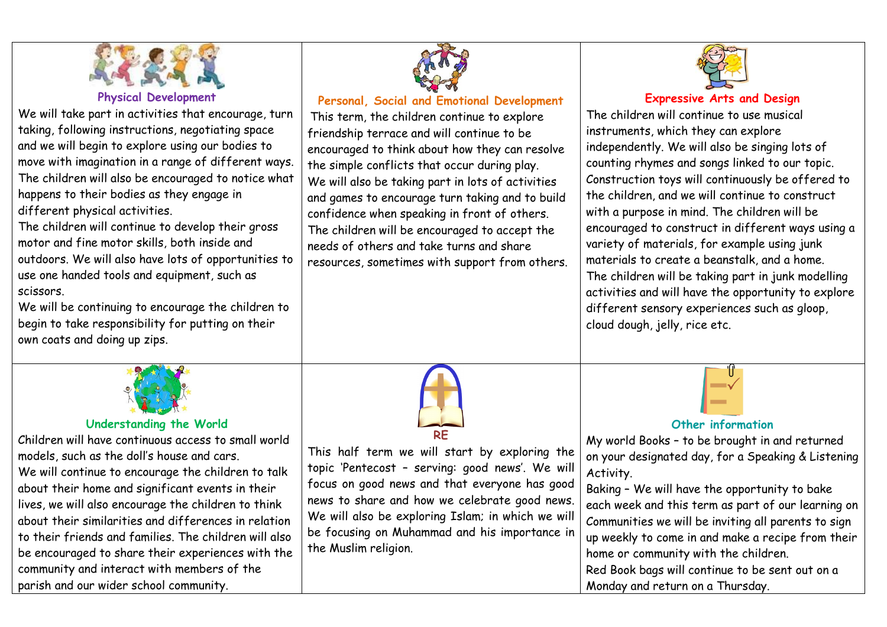

# **Physical Development**

We will take part in activities that encourage, turn taking, following instructions, negotiating space and we will begin to explore using our bodies to move with imagination in a range of different ways. The children will also be encouraged to notice what happens to their bodies as they engage in different physical activities.

The children will continue to develop their gross motor and fine motor skills, both inside and outdoors. We will also have lots of opportunities to use one handed tools and equipment, such as scissors.

We will be continuing to encourage the children to begin to take responsibility for putting on their own coats and doing up zips.



# **Personal, Social and Emotional Development**

This term, the children continue to explore friendship terrace and will continue to be encouraged to think about how they can resolve the simple conflicts that occur during play. We will also be taking part in lots of activities and games to encourage turn taking and to build confidence when speaking in front of others. The children will be encouraged to accept the needs of others and take turns and share resources, sometimes with support from others.



# **Expressive Arts and Design**

The children will continue to use musical instruments, which they can explore independently. We will also be singing lots of counting rhymes and songs linked to our topic. Construction toys will continuously be offered to the children, and we will continue to construct with a purpose in mind. The children will be encouraged to construct in different ways using a variety of materials, for example using junk materials to create a beanstalk, and a home. The children will be taking part in junk modelling activities and will have the opportunity to explore different sensory experiences such as gloop, cloud dough, jelly, rice etc.



# **Understanding the World**

Children will have continuous access to small world models, such as the doll's house and cars. We will continue to encourage the children to talk about their home and significant events in their lives, we will also encourage the children to think about their similarities and differences in relation to their friends and families. The children will also be encouraged to share their experiences with the community and interact with members of the parish and our wider school community.



This half term we will start by exploring the topic 'Pentecost – serving: good news'. We will focus on good news and that everyone has good news to share and how we celebrate good news. We will also be exploring Islam; in which we will be focusing on Muhammad and his importance in the Muslim religion.

# **Other information**

My world Books – to be brought in and returned on your designated day, for a Speaking & Listening Activity.

Baking – We will have the opportunity to bake each week and this term as part of our learning on Communities we will be inviting all parents to sign up weekly to come in and make a recipe from their home or community with the children. Red Book bags will continue to be sent out on a

Monday and return on a Thursday.